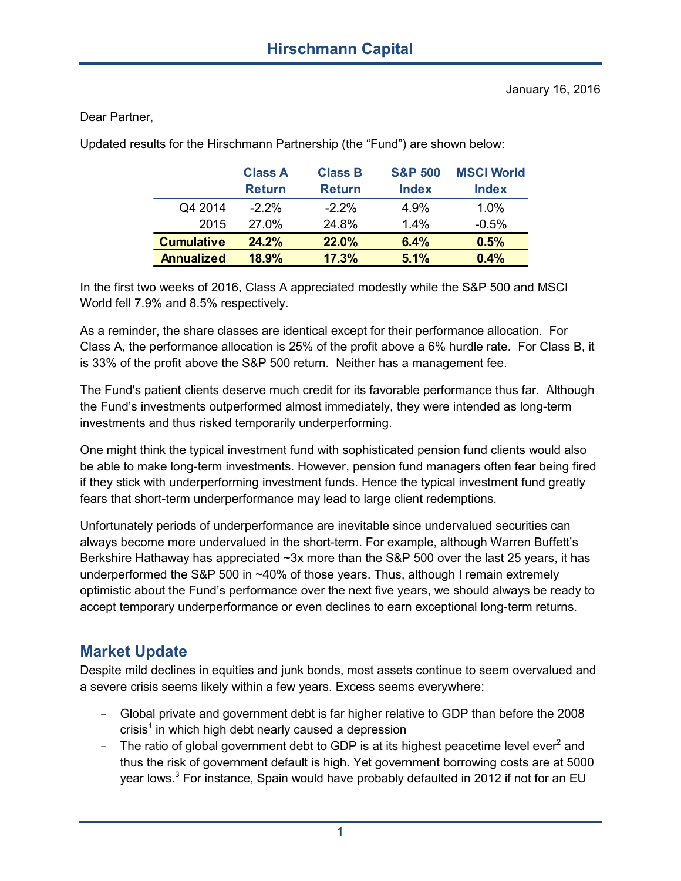Dear Partner,

Updated results for the Hirschmann Partnership (the "Fund") are shown below:

|                   | <b>Class A</b><br><b>Return</b> | <b>Class B</b><br><b>Return</b> | <b>S&amp;P 500</b><br><b>Index</b> | <b>MSCI World</b><br><b>Index</b> |
|-------------------|---------------------------------|---------------------------------|------------------------------------|-----------------------------------|
| Q4 2014           | $-2.2\%$                        | $-2.2%$                         | 4.9%                               | 1.0%                              |
| 2015              | 27.0%                           | 24.8%                           | 14%                                | $-0.5%$                           |
| <b>Cumulative</b> | 24.2%                           | 22.0%                           | 6.4%                               | 0.5%                              |
| <b>Annualized</b> | 18.9%                           | 17.3%                           | 5.1%                               | 0.4%                              |

In the first two weeks of 2016, Class A appreciated modestly while the S&P 500 and MSCI World fell 7.9% and 8.5% respectively.

As a reminder, the share classes are identical except for their performance allocation. For Class A, the performance allocation is 25% of the profit above a 6% hurdle rate. For Class B, it is 33% of the profit above the S&P 500 return. Neither has a management fee.

The Fund's patient clients deserve much credit for its favorable performance thus far. Although the Fund's investments outperformed almost immediately, they were intended as long-term investments and thus risked temporarily underperforming.

One might think the typical investment fund with sophisticated pension fund clients would also be able to make long-term investments. However, pension fund managers often fear being fired if they stick with underperforming investment funds. Hence the typical investment fund greatly fears that short-term underperformance may lead to large client redemptions.

Unfortunately periods of underperformance are inevitable since undervalued securities can always become more undervalued in the short-term. For example, although Warren Buffett's Berkshire Hathaway has appreciated ~3x more than the S&P 500 over the last 25 years, it has underperformed the S&P 500 in ~40% of those years. Thus, although I remain extremely optimistic about the Fund's performance over the next five years, we should always be ready to accept temporary underperformance or even declines to earn exceptional long-term returns.

## **Market Update**

Despite mild declines in equities and junk bonds, most assets continue to seem overvalued and a severe crisis seems likely within a few years. Excess seems everywhere:

- Global private and government debt is far higher relative to GDP than before the 2008 crisis $^{\rm 1}$  in which high debt nearly caused a depression
- The ratio of global government debt to GDP is at its highest peacetime level ever<sup>2</sup> and thus the risk of government default is high. Yet government borrowing costs are at 5000 year lows.<sup>3</sup> For instance, Spain would have probably defaulted in 2012 if not for an EU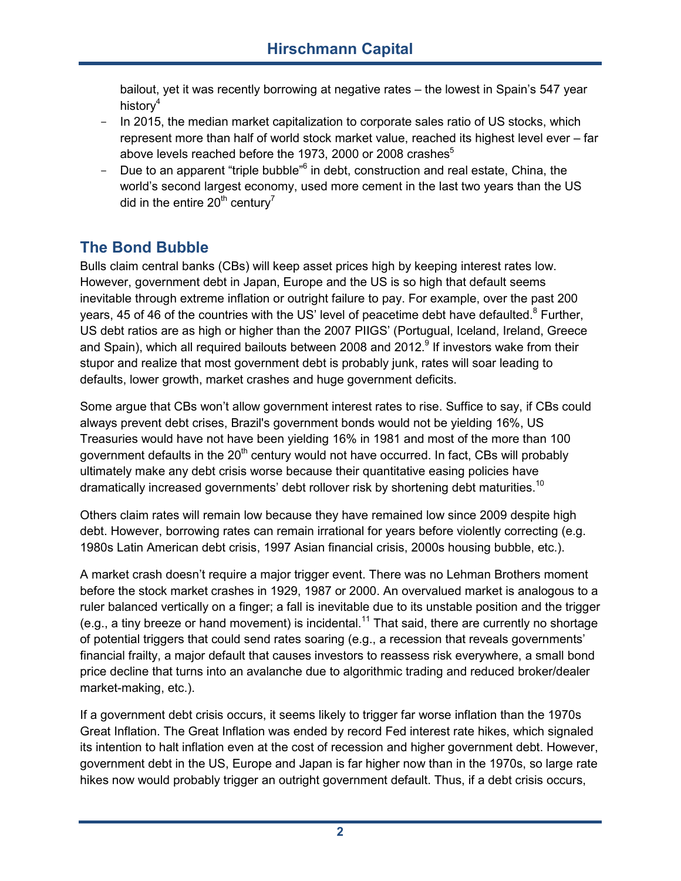bailout, yet it was recently borrowing at negative rates – the lowest in Spain's 547 year history<sup>4</sup>

- In 2015, the median market capitalization to corporate sales ratio of US stocks, which represent more than half of world stock market value, reached its highest level ever – far above levels reached before the 1973, 2000 or 2008 crashes<sup>5</sup>
- Due to an apparent "triple bubble"<sup>6</sup> in debt, construction and real estate, China, the world's second largest economy, used more cement in the last two years than the US did in the entire  $20<sup>th</sup>$  century<sup>7</sup>

# **The Bond Bubble**

Bulls claim central banks (CBs) will keep asset prices high by keeping interest rates low. However, government debt in Japan, Europe and the US is so high that default seems inevitable through extreme inflation or outright failure to pay. For example, over the past 200 years, 45 of 46 of the countries with the US' level of peacetime debt have defaulted. $8$  Further, US debt ratios are as high or higher than the 2007 PIIGS' (Portugual, Iceland, Ireland, Greece and Spain), which all required bailouts between 2008 and 2012.<sup>9</sup> If investors wake from their stupor and realize that most government debt is probably junk, rates will soar leading to defaults, lower growth, market crashes and huge government deficits.

Some argue that CBs won't allow government interest rates to rise. Suffice to say, if CBs could always prevent debt crises, Brazil's government bonds would not be yielding 16%, US Treasuries would have not have been yielding 16% in 1981 and most of the more than 100 government defaults in the  $20<sup>th</sup>$  century would not have occurred. In fact, CBs will probably ultimately make any debt crisis worse because their quantitative easing policies have dramatically increased governments' debt rollover risk by shortening debt maturities.<sup>10</sup>

Others claim rates will remain low because they have remained low since 2009 despite high debt. However, borrowing rates can remain irrational for years before violently correcting (e.g. 1980s Latin American debt crisis, 1997 Asian financial crisis, 2000s housing bubble, etc.).

A market crash doesn't require a major trigger event. There was no Lehman Brothers moment before the stock market crashes in 1929, 1987 or 2000. An overvalued market is analogous to a ruler balanced vertically on a finger; a fall is inevitable due to its unstable position and the trigger (e.g., a tiny breeze or hand movement) is incidental.<sup>11</sup> That said, there are currently no shortage of potential triggers that could send rates soaring (e.g., a recession that reveals governments' financial frailty, a major default that causes investors to reassess risk everywhere, a small bond price decline that turns into an avalanche due to algorithmic trading and reduced broker/dealer market-making, etc.).

If a government debt crisis occurs, it seems likely to trigger far worse inflation than the 1970s Great Inflation. The Great Inflation was ended by record Fed interest rate hikes, which signaled its intention to halt inflation even at the cost of recession and higher government debt. However, government debt in the US, Europe and Japan is far higher now than in the 1970s, so large rate hikes now would probably trigger an outright government default. Thus, if a debt crisis occurs,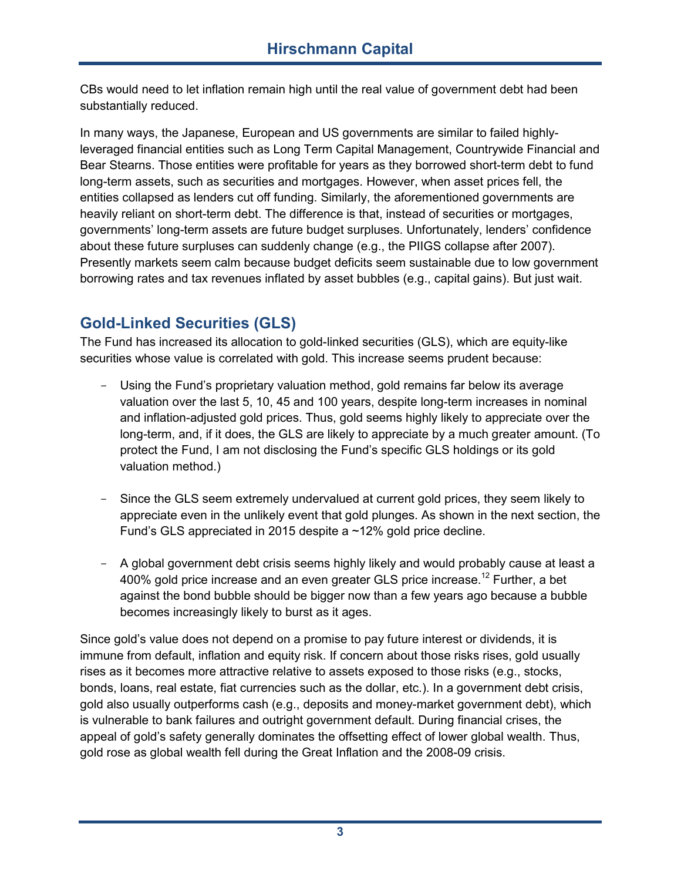CBs would need to let inflation remain high until the real value of government debt had been substantially reduced.

In many ways, the Japanese, European and US governments are similar to failed highlyleveraged financial entities such as Long Term Capital Management, Countrywide Financial and Bear Stearns. Those entities were profitable for years as they borrowed short-term debt to fund long-term assets, such as securities and mortgages. However, when asset prices fell, the entities collapsed as lenders cut off funding. Similarly, the aforementioned governments are heavily reliant on short-term debt. The difference is that, instead of securities or mortgages, governments' long-term assets are future budget surpluses. Unfortunately, lenders' confidence about these future surpluses can suddenly change (e.g., the PIIGS collapse after 2007). Presently markets seem calm because budget deficits seem sustainable due to low government borrowing rates and tax revenues inflated by asset bubbles (e.g., capital gains). But just wait.

## **Gold-Linked Securities (GLS)**

The Fund has increased its allocation to gold-linked securities (GLS), which are equity-like securities whose value is correlated with gold. This increase seems prudent because:

- Using the Fund's proprietary valuation method, gold remains far below its average valuation over the last 5, 10, 45 and 100 years, despite long-term increases in nominal and inflation-adjusted gold prices. Thus, gold seems highly likely to appreciate over the long-term, and, if it does, the GLS are likely to appreciate by a much greater amount. (To protect the Fund, I am not disclosing the Fund's specific GLS holdings or its gold valuation method.)
- Since the GLS seem extremely undervalued at current gold prices, they seem likely to appreciate even in the unlikely event that gold plunges. As shown in the next section, the Fund's GLS appreciated in 2015 despite a ~12% gold price decline.
- A global government debt crisis seems highly likely and would probably cause at least a 400% gold price increase and an even greater GLS price increase.<sup>12</sup> Further, a bet against the bond bubble should be bigger now than a few years ago because a bubble becomes increasingly likely to burst as it ages.

Since gold's value does not depend on a promise to pay future interest or dividends, it is immune from default, inflation and equity risk. If concern about those risks rises, gold usually rises as it becomes more attractive relative to assets exposed to those risks (e.g., stocks, bonds, loans, real estate, fiat currencies such as the dollar, etc.). In a government debt crisis, gold also usually outperforms cash (e.g., deposits and money-market government debt), which is vulnerable to bank failures and outright government default. During financial crises, the appeal of gold's safety generally dominates the offsetting effect of lower global wealth. Thus, gold rose as global wealth fell during the Great Inflation and the 2008-09 crisis.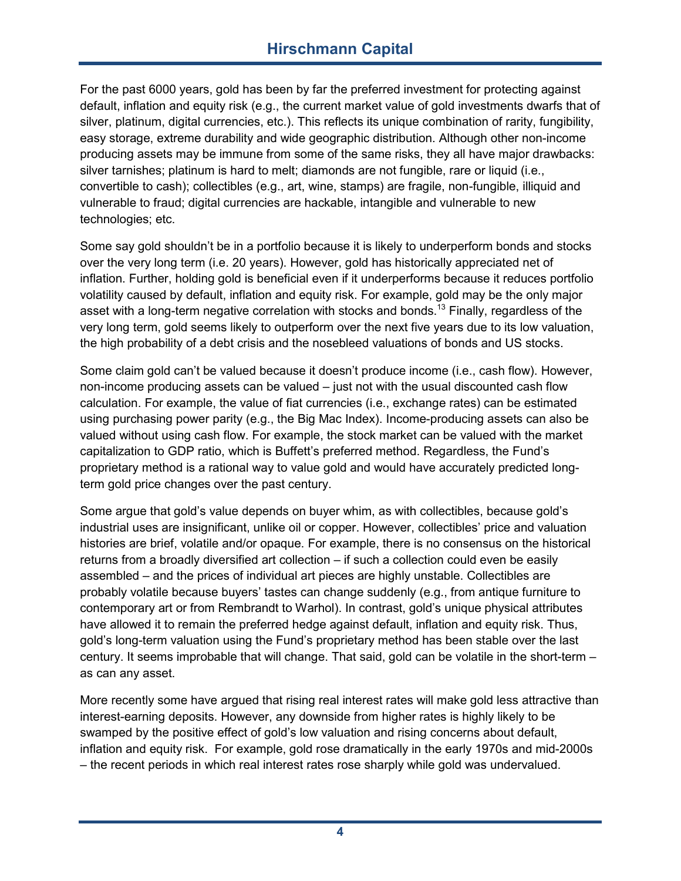## **Hirschmann Capital**

For the past 6000 years, gold has been by far the preferred investment for protecting against default, inflation and equity risk (e.g., the current market value of gold investments dwarfs that of silver, platinum, digital currencies, etc.). This reflects its unique combination of rarity, fungibility, easy storage, extreme durability and wide geographic distribution. Although other non-income producing assets may be immune from some of the same risks, they all have major drawbacks: silver tarnishes; platinum is hard to melt; diamonds are not fungible, rare or liquid (i.e., convertible to cash); collectibles (e.g., art, wine, stamps) are fragile, non-fungible, illiquid and vulnerable to fraud; digital currencies are hackable, intangible and vulnerable to new technologies; etc.

Some say gold shouldn't be in a portfolio because it is likely to underperform bonds and stocks over the very long term (i.e. 20 years). However, gold has historically appreciated net of inflation. Further, holding gold is beneficial even if it underperforms because it reduces portfolio volatility caused by default, inflation and equity risk. For example, gold may be the only major asset with a long-term negative correlation with stocks and bonds.<sup>13</sup> Finally, regardless of the very long term, gold seems likely to outperform over the next five years due to its low valuation, the high probability of a debt crisis and the nosebleed valuations of bonds and US stocks.

Some claim gold can't be valued because it doesn't produce income (i.e., cash flow). However, non-income producing assets can be valued – just not with the usual discounted cash flow calculation. For example, the value of fiat currencies (i.e., exchange rates) can be estimated using purchasing power parity (e.g., the Big Mac Index). Income-producing assets can also be valued without using cash flow. For example, the stock market can be valued with the market capitalization to GDP ratio, which is Buffett's preferred method. Regardless, the Fund's proprietary method is a rational way to value gold and would have accurately predicted longterm gold price changes over the past century.

Some argue that gold's value depends on buyer whim, as with collectibles, because gold's industrial uses are insignificant, unlike oil or copper. However, collectibles' price and valuation histories are brief, volatile and/or opaque. For example, there is no consensus on the historical returns from a broadly diversified art collection – if such a collection could even be easily assembled – and the prices of individual art pieces are highly unstable. Collectibles are probably volatile because buyers' tastes can change suddenly (e.g., from antique furniture to contemporary art or from Rembrandt to Warhol). In contrast, gold's unique physical attributes have allowed it to remain the preferred hedge against default, inflation and equity risk. Thus, gold's long-term valuation using the Fund's proprietary method has been stable over the last century. It seems improbable that will change. That said, gold can be volatile in the short-term – as can any asset.

More recently some have argued that rising real interest rates will make gold less attractive than interest-earning deposits. However, any downside from higher rates is highly likely to be swamped by the positive effect of gold's low valuation and rising concerns about default, inflation and equity risk. For example, gold rose dramatically in the early 1970s and mid-2000s – the recent periods in which real interest rates rose sharply while gold was undervalued.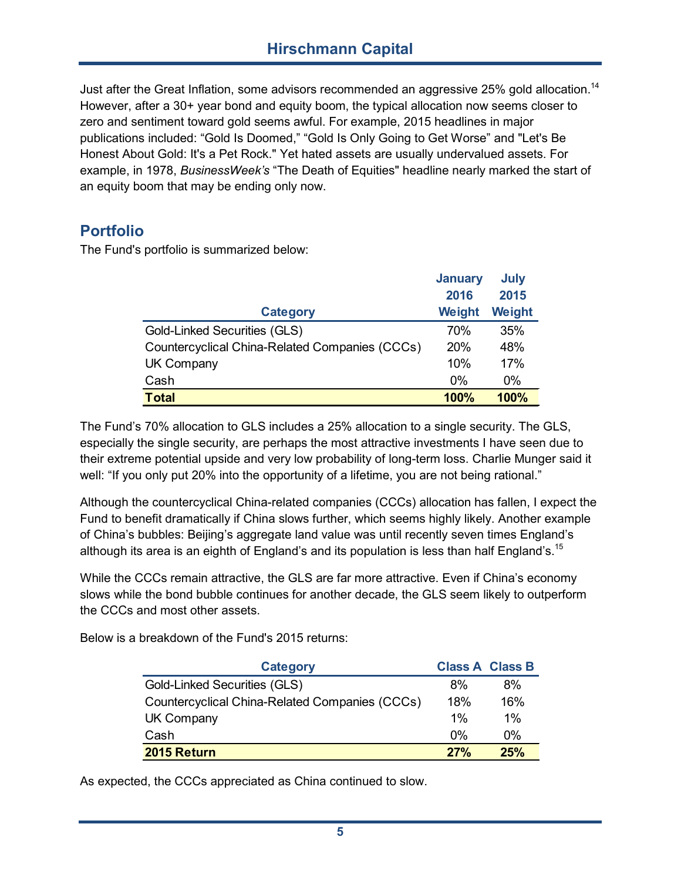### **Hirschmann Capital**

Just after the Great Inflation, some advisors recommended an aggressive 25% gold allocation.<sup>14</sup> However, after a 30+ year bond and equity boom, the typical allocation now seems closer to zero and sentiment toward gold seems awful. For example, 2015 headlines in major publications included: "Gold Is Doomed," "Gold Is Only Going to Get Worse" and "Let's Be Honest About Gold: It's a Pet Rock." Yet hated assets are usually undervalued assets. For example, in 1978, *BusinessWeek's* "The Death of Equities" headline nearly marked the start of an equity boom that may be ending only now.

#### **Portfolio**

The Fund's portfolio is summarized below:

|                                                | <b>January</b> | <b>July</b> |
|------------------------------------------------|----------------|-------------|
|                                                | 2016           | 2015        |
| <b>Category</b>                                | Weight         | Weight      |
| <b>Gold-Linked Securities (GLS)</b>            | 70%            | 35%         |
| Countercyclical China-Related Companies (CCCs) | 20%            | 48%         |
| <b>UK Company</b>                              | 10%            | 17%         |
| Cash                                           | $0\%$          | $0\%$       |
| <b>Total</b>                                   | 100%           | 100%        |

The Fund's 70% allocation to GLS includes a 25% allocation to a single security. The GLS, especially the single security, are perhaps the most attractive investments I have seen due to their extreme potential upside and very low probability of long-term loss. Charlie Munger said it well: "If you only put 20% into the opportunity of a lifetime, you are not being rational."

Although the countercyclical China-related companies (CCCs) allocation has fallen, I expect the Fund to benefit dramatically if China slows further, which seems highly likely. Another example of China's bubbles: Beijing's aggregate land value was until recently seven times England's although its area is an eighth of England's and its population is less than half England's.<sup>15</sup>

While the CCCs remain attractive, the GLS are far more attractive. Even if China's economy slows while the bond bubble continues for another decade, the GLS seem likely to outperform the CCCs and most other assets.

Below is a breakdown of the Fund's 2015 returns:

| <b>Category</b>                                |       | <b>Class A Class B</b> |
|------------------------------------------------|-------|------------------------|
| Gold-Linked Securities (GLS)                   | 8%    | 8%                     |
| Countercyclical China-Related Companies (CCCs) | 18%   | 16%                    |
| UK Company                                     | $1\%$ | $1\%$                  |
| Cash                                           | $0\%$ | 0%                     |
| 2015 Return                                    | 27%   | 25%                    |

As expected, the CCCs appreciated as China continued to slow.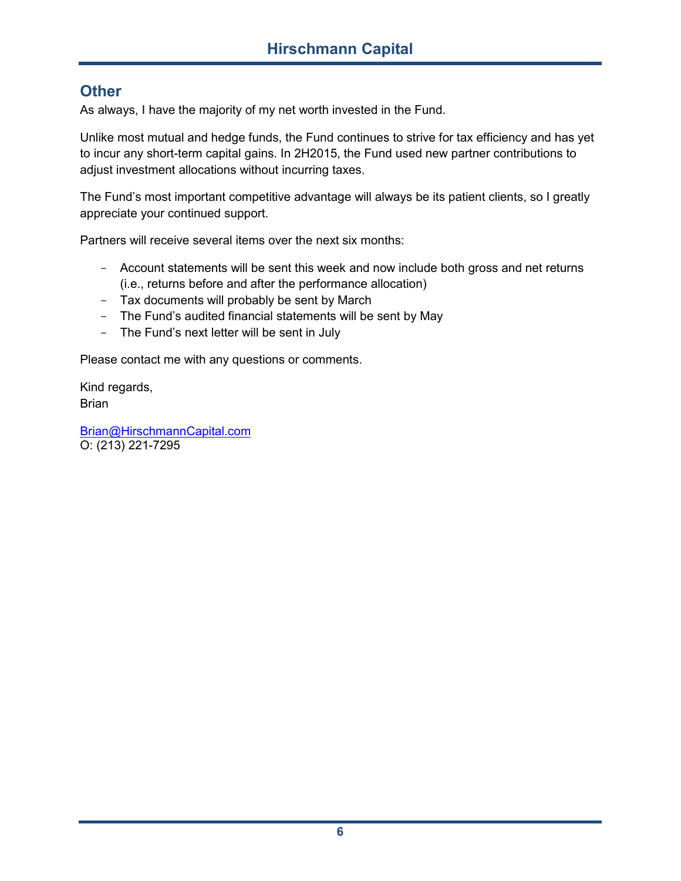### **Other**

As always, I have the majority of my net worth invested in the Fund.

Unlike most mutual and hedge funds, the Fund continues to strive for tax efficiency and has yet to incur any short-term capital gains. In 2H2015, the Fund used new partner contributions to adjust investment allocations without incurring taxes.

The Fund's most important competitive advantage will always be its patient clients, so I greatly appreciate your continued support.

Partners will receive several items over the next six months:

- Account statements will be sent this week and now include both gross and net returns (i.e., returns before and after the performance allocation)
- Tax documents will probably be sent by March
- The Fund's audited financial statements will be sent by May
- The Fund's next letter will be sent in July

Please contact me with any questions or comments.

Kind regards, Brian

Brian@HirschmannCapital.com O: (213) 221-7295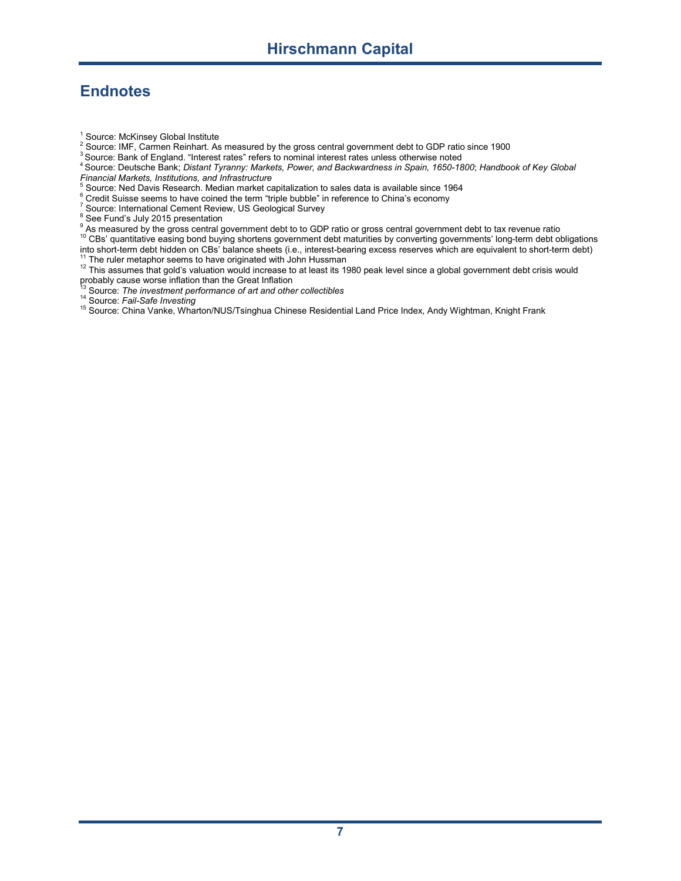# **Endnotes**

- <sup>1</sup> Source: McKinsey Global Institute
- <sup>2</sup> Source: IMF, Carmen Reinhart. As measured by the gross central government debt to GDP ratio since 1900
- <sup>3</sup> Source: Bank of England. "Interest rates" refers to nominal interest rates unless otherwise noted
- <sup>4</sup> Source: Deutsche Bank; *Distant Tyranny: Markets, Power, and Backwardness in Spain, 1650-1800*; *Handbook of Key Global*
- *Financial Markets, Institutions, and Infrastructure* <sup>5</sup> Source: Ned Davis Research. Median market capitalization to sales data is available since 1964
- <sup>6</sup> Credit Suisse seems to have coined the term "triple bubble" in reference to China's economy
- <sup>7</sup> Source: International Cement Review, US Geological Survey
- $\frac{8}{3}$  See Fund's July 2015 presentation
- $^9$  As measured by the gross central government debt to to GDP ratio or gross central government debt to tax revenue ratio

 $^{\rm 10}$  CBs' quantitative easing bond buying shortens government debt maturities by converting governments' long-term debt obligations into short-term debt hidden on CBs' balance sheets (i.e., interest-bearing excess reserves which are equivalent to short-term debt) <sup>11</sup> The ruler metaphor seems to have originated with John Hussman

- <sup>12</sup> This assumes that gold's valuation would increase to at least its 1980 peak level since a global government debt crisis would probably cause worse inflation than the Great Inflation<br><sup>13</sup> Counter worse inflation than the Great Inflation
- <sup>13</sup> Source: *The investment performance of art and other collectibles*
- <sup>14</sup> Source: *Fail-Safe Investing*
- <sup>15</sup> Source: China Vanke, Wharton/NUS/Tsinghua Chinese Residential Land Price Index, Andy Wightman, Knight Frank